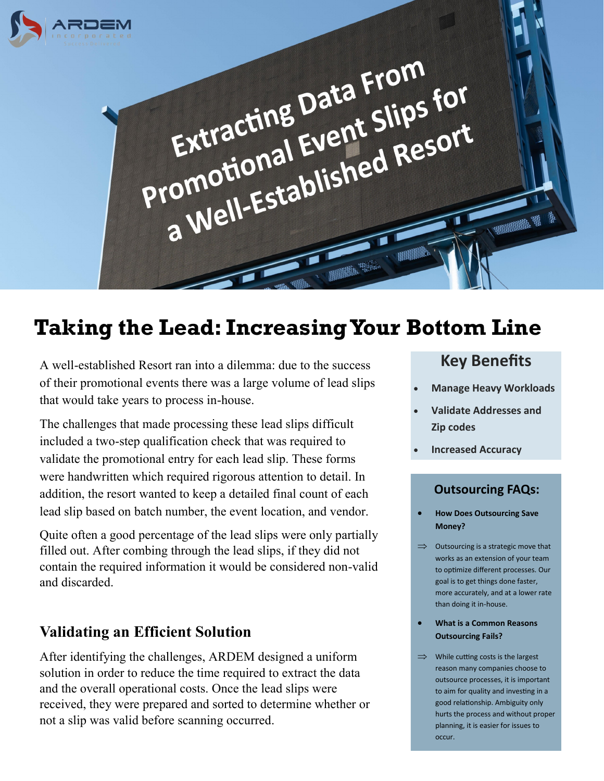

# **Taking the Lead: Increasing Your Bottom Line**

A well-established Resort ran into a dilemma: due to the success of their promotional events there was a large volume of lead slips that would take years to process in-house.

The challenges that made processing these lead slips difficult included a two-step qualification check that was required to validate the promotional entry for each lead slip. These forms were handwritten which required rigorous attention to detail. In addition, the resort wanted to keep a detailed final count of each lead slip based on batch number, the event location, and vendor.

Quite often a good percentage of the lead slips were only partially filled out. After combing through the lead slips, if they did not contain the required information it would be considered non-valid and discarded.

## **Validating an Efficient Solution**

After identifying the challenges, ARDEM designed a uniform solution in order to reduce the time required to extract the data and the overall operational costs. Once the lead slips were received, they were prepared and sorted to determine whether or not a slip was valid before scanning occurred.

# **Key Benefits Key Benefits**

- **Manage Heavy Workloads**
- **Validate Addresses and These 3 August 2 Questions**
- Are you still using • **Improve** • **Increased Accuracy**

valuable human

### **Outsourcing FAQs:**

- How Does Outsourcing Save Money?
- works as an extension of your team to optimize unterent processes.<br>goal is to get things done faster,  $\frac{3}{2}$  more accurately, and at a lower rate than doing it in-house.  $\implies$  Outsourcing is a strategic move that to optimize different processes. Our
- **What is a Common Reasons Outsourcing Fails?**
- writter cutting costs is the largest<br>reason many companies choose to outsource processes, it is important to aim for quality and investing in a good relationship. Ambiguity only marts the process and without proportion.  $\implies$  While cutting costs is the largest hurts the process and without proper occur.